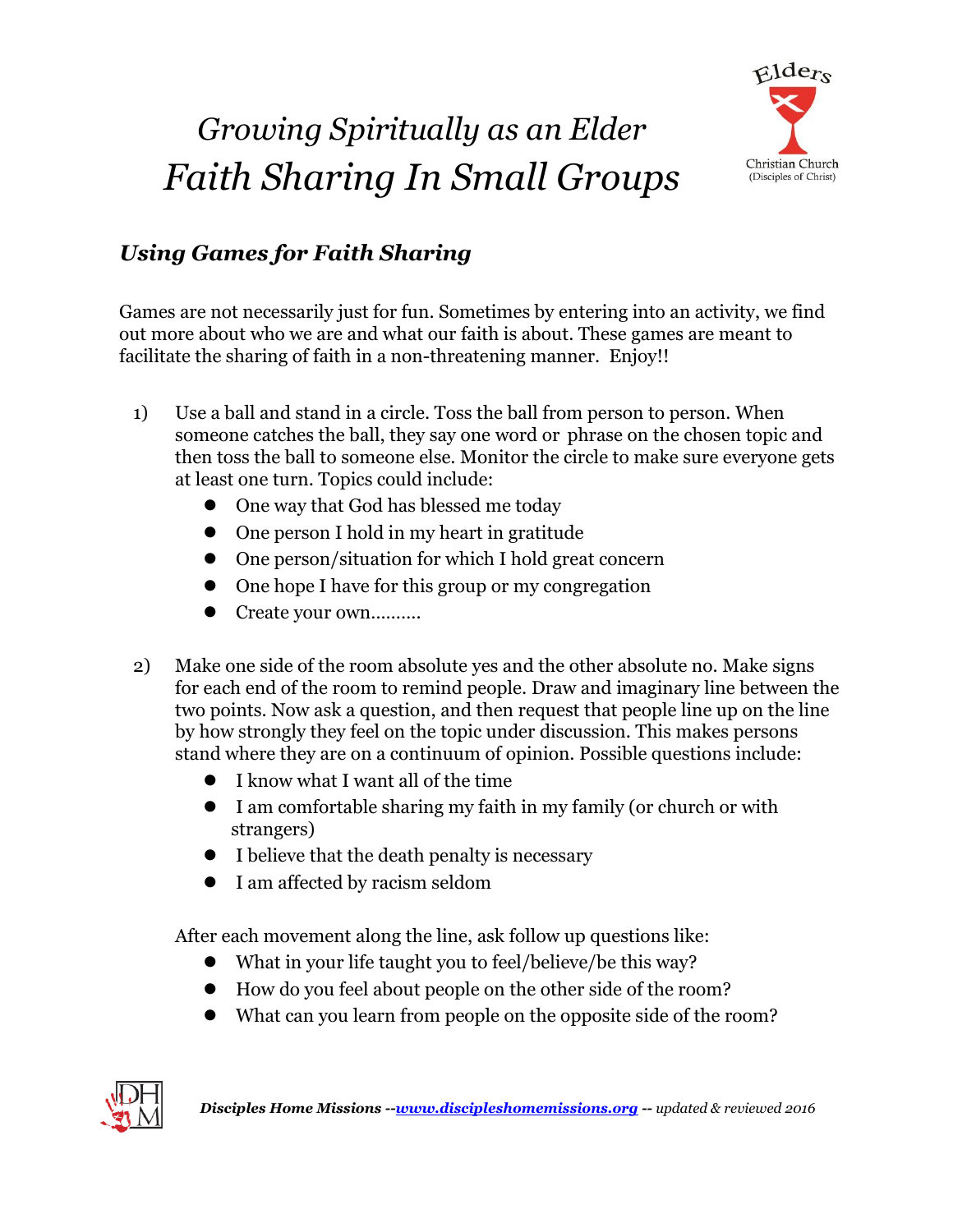## *Growing Spiritually as an Elder Faith Sharing In Small Groups*



## *Using Games for Faith Sharing*

Games are not necessarily just for fun. Sometimes by entering into an activity, we find out more about who we are and what our faith is about. These games are meant to facilitate the sharing of faith in a non-threatening manner. Enjoy!!

- 1) Use a ball and stand in a circle. Toss the ball from person to person. When someone catches the ball, they say one word or phrase on the chosen topic and then toss the ball to someone else. Monitor the circle to make sure everyone gets at least one turn. Topics could include:
	- One way that God has blessed me today
	- One person I hold in my heart in gratitude
	- One person/situation for which I hold great concern
	- One hope I have for this group or my congregation
	- Create your own..........
- 2) Make one side of the room absolute yes and the other absolute no. Make signs for each end of the room to remind people. Draw and imaginary line between the two points. Now ask a question, and then request that people line up on the line by how strongly they feel on the topic under discussion. This makes persons stand where they are on a continuum of opinion. Possible questions include:
	- I know what I want all of the time
	- I am comfortable sharing my faith in my family (or church or with strangers)
	- I believe that the death penalty is necessary
	- I am affected by racism seldom

After each movement along the line, ask follow up questions like:

- What in your life taught you to feel/believe/be this way?
- How do you feel about people on the other side of the room?
- What can you learn from people on the opposite side of the room?

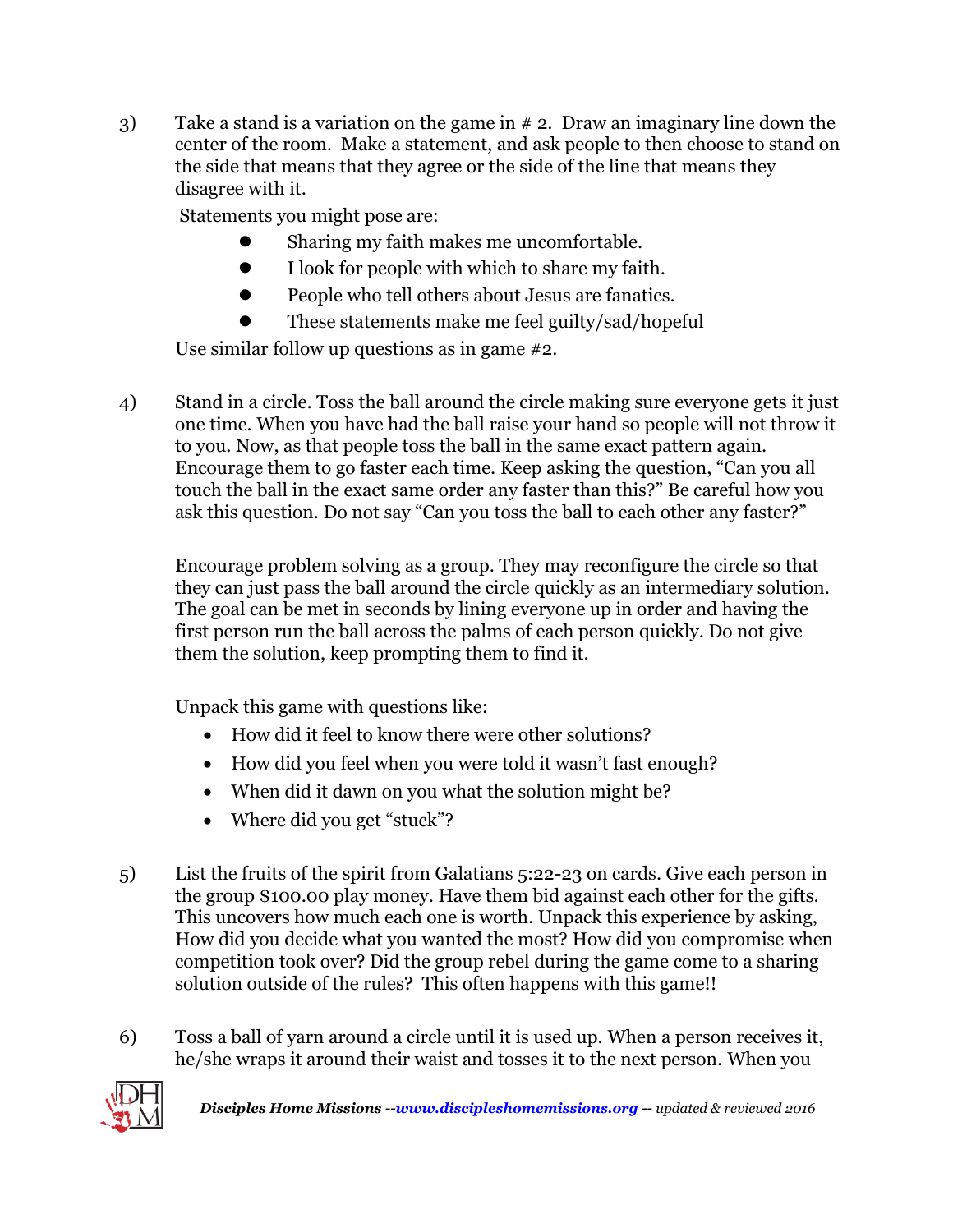3) Take a stand is a variation on the game in # 2. Draw an imaginary line down the center of the room. Make a statement, and ask people to then choose to stand on the side that means that they agree or the side of the line that means they disagree with it.

Statements you might pose are:

- Sharing my faith makes me uncomfortable.
- I look for people with which to share my faith.
- People who tell others about Jesus are fanatics.
- These statements make me feel guilty/sad/hopeful

Use similar follow up questions as in game #2.

4) Stand in a circle. Toss the ball around the circle making sure everyone gets it just one time. When you have had the ball raise your hand so people will not throw it to you. Now, as that people toss the ball in the same exact pattern again. Encourage them to go faster each time. Keep asking the question, "Can you all touch the ball in the exact same order any faster than this?" Be careful how you ask this question. Do not say "Can you toss the ball to each other any faster?"

Encourage problem solving as a group. They may reconfigure the circle so that they can just pass the ball around the circle quickly as an intermediary solution. The goal can be met in seconds by lining everyone up in order and having the first person run the ball across the palms of each person quickly. Do not give them the solution, keep prompting them to find it.

Unpack this game with questions like:

- How did it feel to know there were other solutions?
- How did you feel when you were told it wasn't fast enough?
- When did it dawn on you what the solution might be?
- Where did you get "stuck"?
- 5) List the fruits of the spirit from Galatians 5:22-23 on cards. Give each person in the group \$100.00 play money. Have them bid against each other for the gifts. This uncovers how much each one is worth. Unpack this experience by asking, How did you decide what you wanted the most? How did you compromise when competition took over? Did the group rebel during the game come to a sharing solution outside of the rules? This often happens with this game!!
- 6) Toss a ball of yarn around a circle until it is used up. When a person receives it, he/she wraps it around their waist and tosses it to the next person. When you

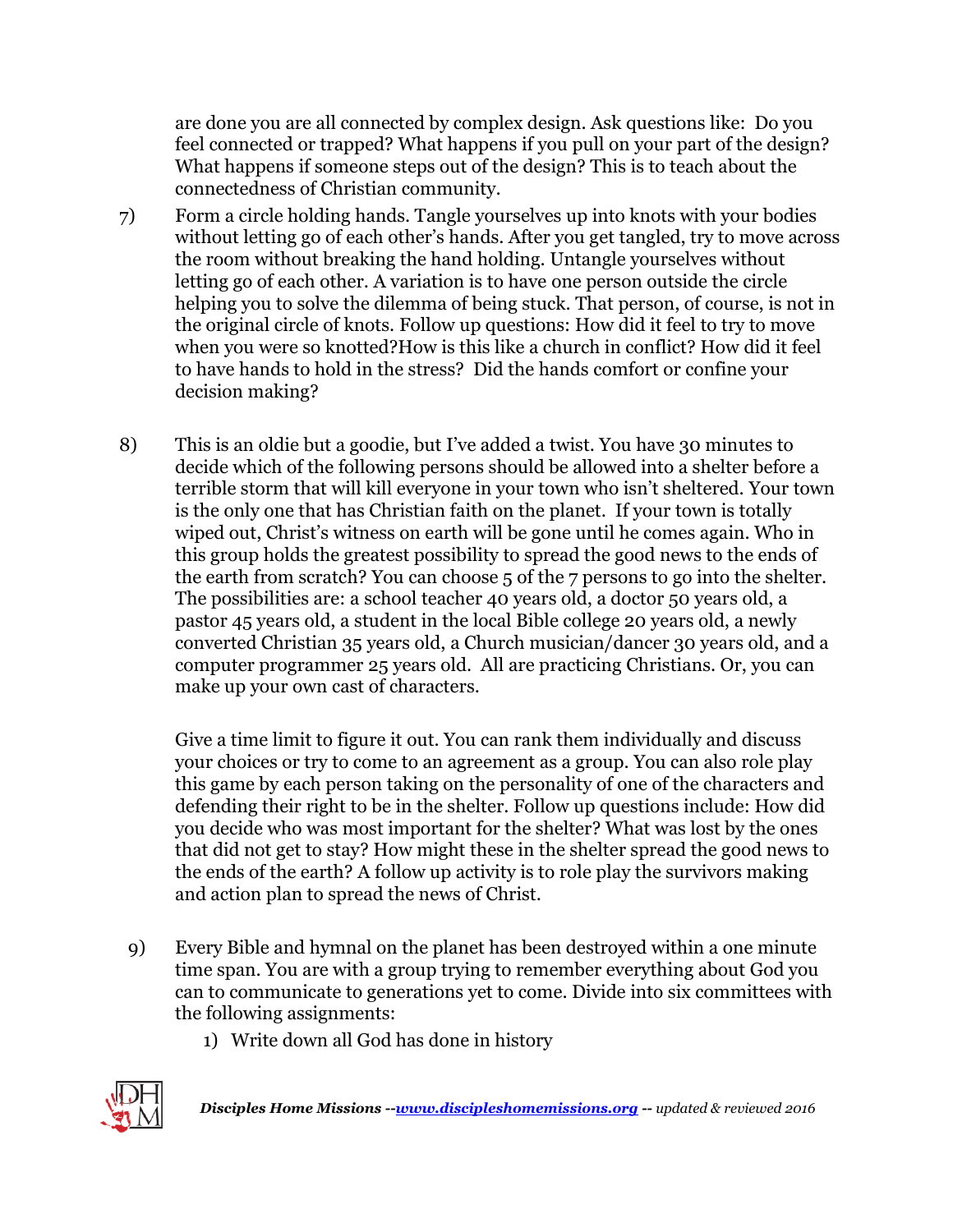are done you are all connected by complex design. Ask questions like: Do you feel connected or trapped? What happens if you pull on your part of the design? What happens if someone steps out of the design? This is to teach about the connectedness of Christian community.

- 7) Form a circle holding hands. Tangle yourselves up into knots with your bodies without letting go of each other's hands. After you get tangled, try to move across the room without breaking the hand holding. Untangle yourselves without letting go of each other. A variation is to have one person outside the circle helping you to solve the dilemma of being stuck. That person, of course, is not in the original circle of knots. Follow up questions: How did it feel to try to move when you were so knotted?How is this like a church in conflict? How did it feel to have hands to hold in the stress? Did the hands comfort or confine your decision making?
- 8) This is an oldie but a goodie, but I've added a twist. You have 30 minutes to decide which of the following persons should be allowed into a shelter before a terrible storm that will kill everyone in your town who isn't sheltered. Your town is the only one that has Christian faith on the planet. If your town is totally wiped out, Christ's witness on earth will be gone until he comes again. Who in this group holds the greatest possibility to spread the good news to the ends of the earth from scratch? You can choose 5 of the 7 persons to go into the shelter. The possibilities are: a school teacher 40 years old, a doctor 50 years old, a pastor 45 years old, a student in the local Bible college 20 years old, a newly converted Christian 35 years old, a Church musician/dancer 30 years old, and a computer programmer 25 years old. All are practicing Christians. Or, you can make up your own cast of characters.

Give a time limit to figure it out. You can rank them individually and discuss your choices or try to come to an agreement as a group. You can also role play this game by each person taking on the personality of one of the characters and defending their right to be in the shelter. Follow up questions include: How did you decide who was most important for the shelter? What was lost by the ones that did not get to stay? How might these in the shelter spread the good news to the ends of the earth? A follow up activity is to role play the survivors making and action plan to spread the news of Christ.

- 9) Every Bible and hymnal on the planet has been destroyed within a one minute time span. You are with a group trying to remember everything about God you can to communicate to generations yet to come. Divide into six committees with the following assignments:
	- 1) Write down all God has done in history

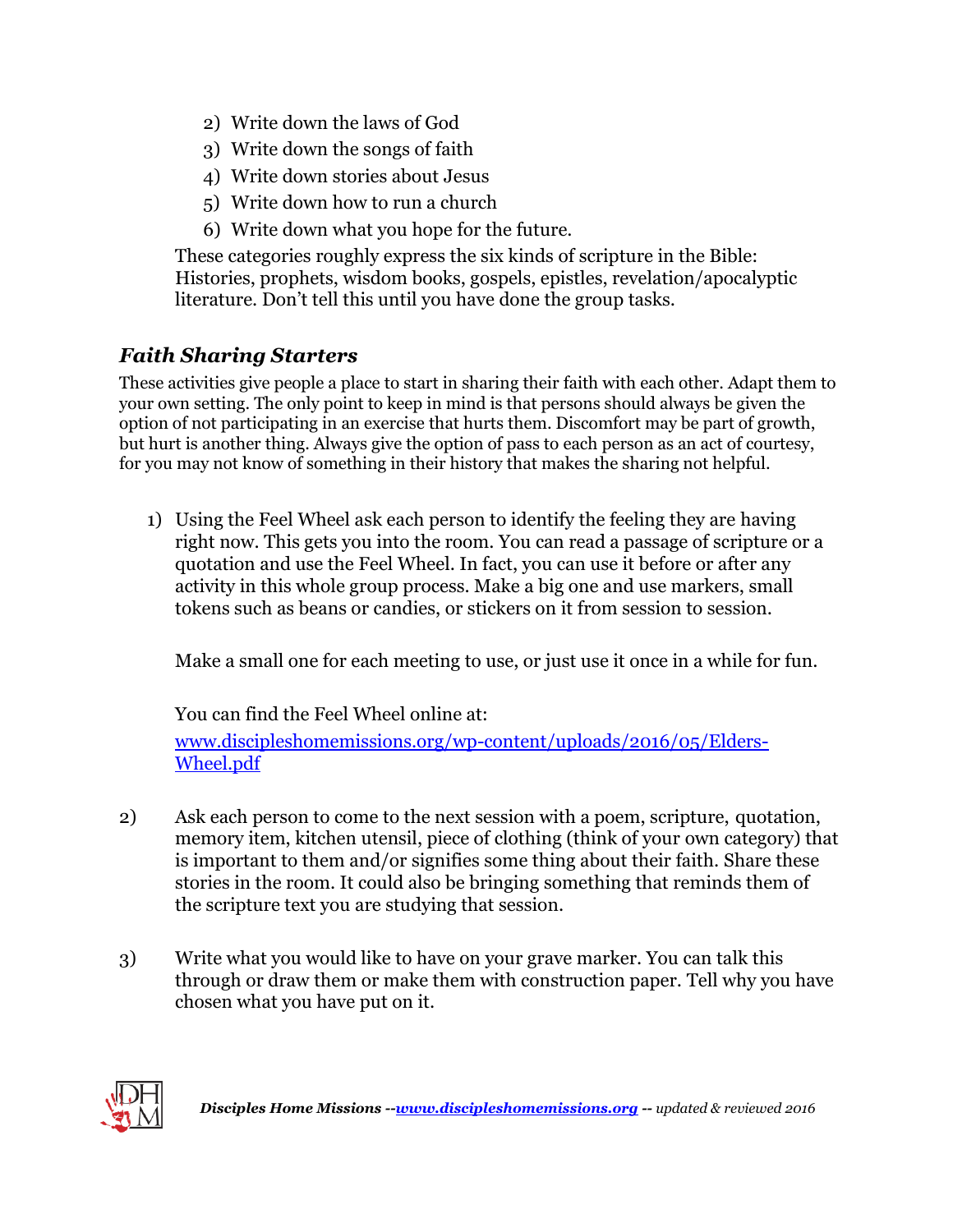- 2) Write down the laws of God
- 3) Write down the songs of faith
- 4) Write down stories about Jesus
- 5) Write down how to run a church
- 6) Write down what you hope for the future.

These categories roughly express the six kinds of scripture in the Bible: Histories, prophets, wisdom books, gospels, epistles, revelation/apocalyptic literature. Don't tell this until you have done the group tasks.

## *Faith Sharing Starters*

These activities give people a place to start in sharing their faith with each other. Adapt them to your own setting. The only point to keep in mind is that persons should always be given the option of not participating in an exercise that hurts them. Discomfort may be part of growth, but hurt is another thing. Always give the option of pass to each person as an act of courtesy, for you may not know of something in their history that makes the sharing not helpful.

1) Using the Feel Wheel ask each person to identify the feeling they are having right now. This gets you into the room. You can read a passage of scripture or a quotation and use the Feel Wheel. In fact, you can use it before or after any activity in this whole group process. Make a big one and use markers, small tokens such as beans or candies, or stickers on it from session to session.

Make a small one for each meeting to use, or just use it once in a while for fun.

You can find the Feel Wheel online at: [www.discipleshomemissions.org/wp-content/uploads/2016/05/Elders-](http://www.discipleshomemissions.org/wp-content/uploads/2016/05/Elders-Wheel.pdf)[Wheel.pdf](http://www.discipleshomemissions.org/wp-content/uploads/2016/05/Elders-Wheel.pdf)

- 2) Ask each person to come to the next session with a poem, scripture, quotation, memory item, kitchen utensil, piece of clothing (think of your own category) that is important to them and/or signifies some thing about their faith. Share these stories in the room. It could also be bringing something that reminds them of the scripture text you are studying that session.
- 3) Write what you would like to have on your grave marker. You can talk this through or draw them or make them with construction paper. Tell why you have chosen what you have put on it.

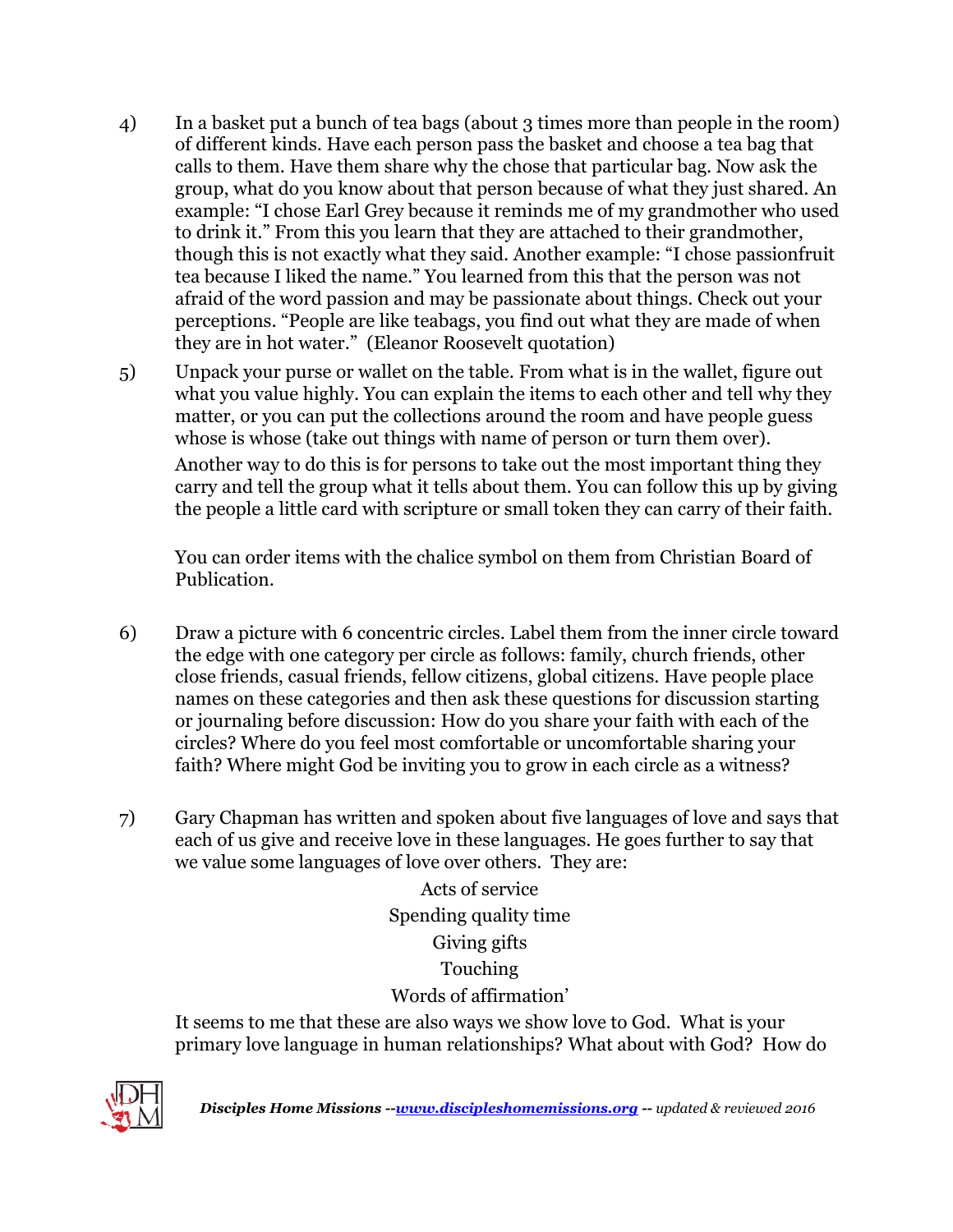- 4) In a basket put a bunch of tea bags (about 3 times more than people in the room) of different kinds. Have each person pass the basket and choose a tea bag that calls to them. Have them share why the chose that particular bag. Now ask the group, what do you know about that person because of what they just shared. An example: "I chose Earl Grey because it reminds me of my grandmother who used to drink it." From this you learn that they are attached to their grandmother, though this is not exactly what they said. Another example: "I chose passionfruit tea because I liked the name." You learned from this that the person was not afraid of the word passion and may be passionate about things. Check out your perceptions. "People are like teabags, you find out what they are made of when they are in hot water." (Eleanor Roosevelt quotation)
- 5) Unpack your purse or wallet on the table. From what is in the wallet, figure out what you value highly. You can explain the items to each other and tell why they matter, or you can put the collections around the room and have people guess whose is whose (take out things with name of person or turn them over). Another way to do this is for persons to take out the most important thing they carry and tell the group what it tells about them. You can follow this up by giving

the people a little card with scripture or small token they can carry of their faith.

You can order items with the chalice symbol on them from Christian Board of Publication.

- 6) Draw a picture with 6 concentric circles. Label them from the inner circle toward the edge with one category per circle as follows: family, church friends, other close friends, casual friends, fellow citizens, global citizens. Have people place names on these categories and then ask these questions for discussion starting or journaling before discussion: How do you share your faith with each of the circles? Where do you feel most comfortable or uncomfortable sharing your faith? Where might God be inviting you to grow in each circle as a witness?
- 7) Gary Chapman has written and spoken about five languages of love and says that each of us give and receive love in these languages. He goes further to say that we value some languages of love over others. They are:

Acts of service Spending quality time Giving gifts Touching Words of affirmation'

It seems to me that these are also ways we show love to God. What is your primary love language in human relationships? What about with God? How do



*Disciples Home Missions -[-www.discipleshomemissions.org](http://www.discipleshomemissions.org/) -- updated & reviewed 2016*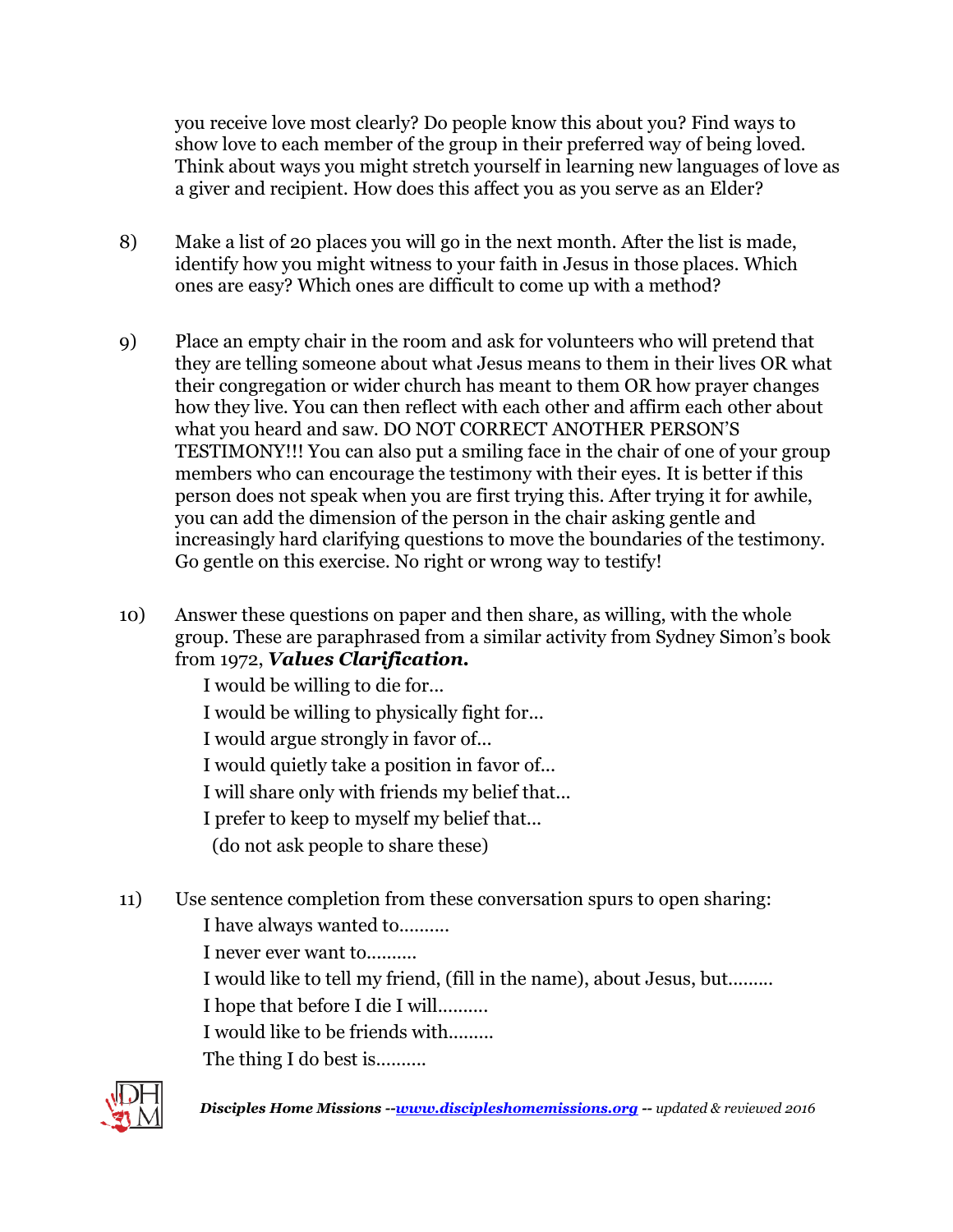you receive love most clearly? Do people know this about you? Find ways to show love to each member of the group in their preferred way of being loved. Think about ways you might stretch yourself in learning new languages of love as a giver and recipient. How does this affect you as you serve as an Elder?

- 8) Make a list of 20 places you will go in the next month. After the list is made, identify how you might witness to your faith in Jesus in those places. Which ones are easy? Which ones are difficult to come up with a method?
- 9) Place an empty chair in the room and ask for volunteers who will pretend that they are telling someone about what Jesus means to them in their lives OR what their congregation or wider church has meant to them OR how prayer changes how they live. You can then reflect with each other and affirm each other about what you heard and saw. DO NOT CORRECT ANOTHER PERSON'S TESTIMONY!!! You can also put a smiling face in the chair of one of your group members who can encourage the testimony with their eyes. It is better if this person does not speak when you are first trying this. After trying it for awhile, you can add the dimension of the person in the chair asking gentle and increasingly hard clarifying questions to move the boundaries of the testimony. Go gentle on this exercise. No right or wrong way to testify!
- 10) Answer these questions on paper and then share, as willing, with the whole group. These are paraphrased from a similar activity from Sydney Simon's book from 1972, *Values Clarification.*

I would be willing to die for...

I would be willing to physically fight for...

I would argue strongly in favor of...

I would quietly take a position in favor of...

I will share only with friends my belief that...

I prefer to keep to myself my belief that...

(do not ask people to share these)

11) Use sentence completion from these conversation spurs to open sharing:

I have always wanted to..........

I never ever want to..........

I would like to tell my friend, (fill in the name), about Jesus, but.........

I hope that before I die I will..........

I would like to be friends with.........

The thing I do best is...........



*Disciples Home Missions -[-www.discipleshomemissions.org](http://www.discipleshomemissions.org/) -- updated & reviewed 2016*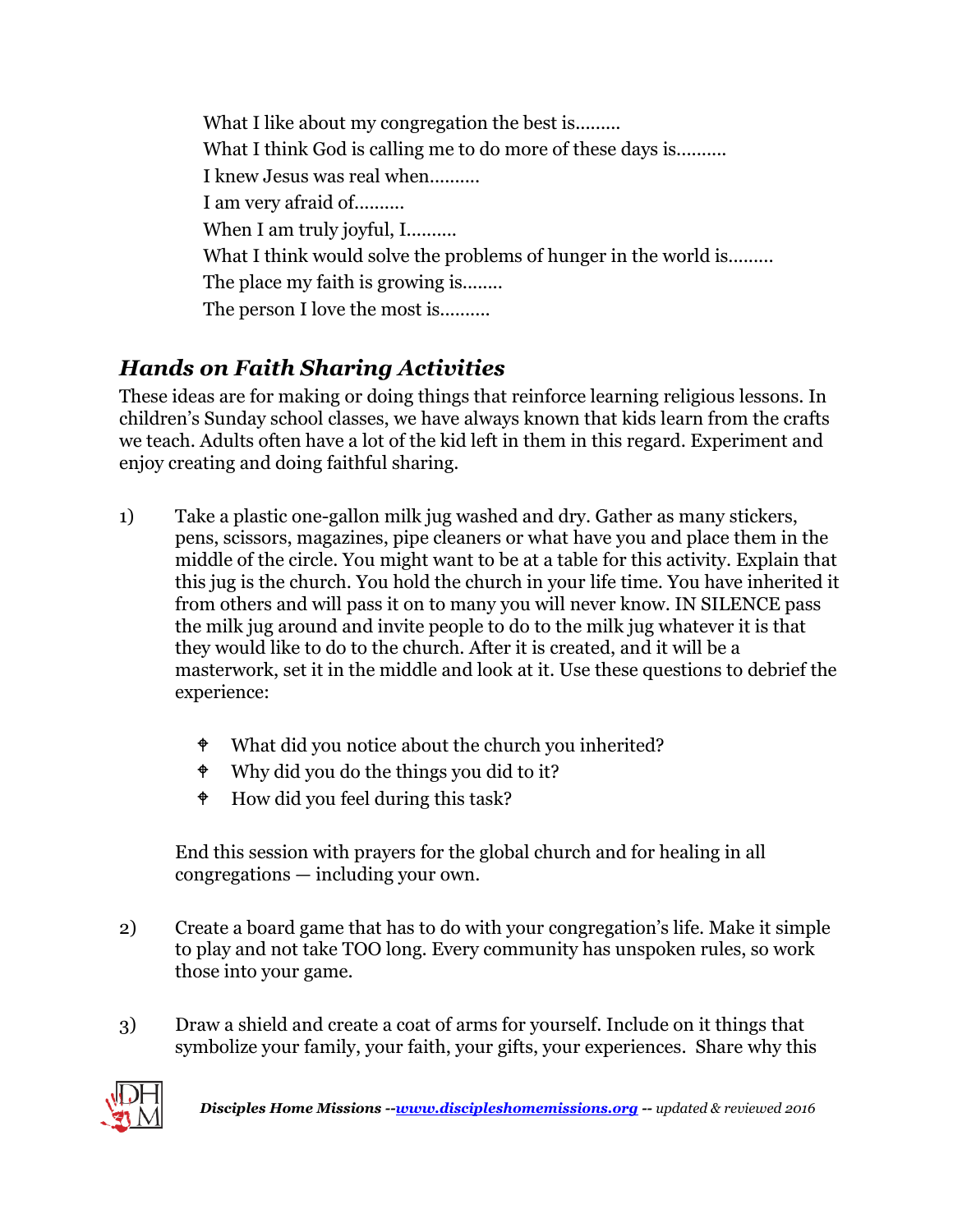What I like about my congregation the best is......... What I think God is calling me to do more of these days is.......... I knew Jesus was real when.......... I am very afraid of.......... When I am truly joyful, I.......... What I think would solve the problems of hunger in the world is......... The place my faith is growing is........ The person I love the most is..........

## *Hands on Faith Sharing Activities*

These ideas are for making or doing things that reinforce learning religious lessons. In children's Sunday school classes, we have always known that kids learn from the crafts we teach. Adults often have a lot of the kid left in them in this regard. Experiment and enjoy creating and doing faithful sharing.

- 1) Take a plastic one-gallon milk jug washed and dry. Gather as many stickers, pens, scissors, magazines, pipe cleaners or what have you and place them in the middle of the circle. You might want to be at a table for this activity. Explain that this jug is the church. You hold the church in your life time. You have inherited it from others and will pass it on to many you will never know. IN SILENCE pass the milk jug around and invite people to do to the milk jug whatever it is that they would like to do to the church. After it is created, and it will be a masterwork, set it in the middle and look at it. Use these questions to debrief the experience:
	- $\bullet$  What did you notice about the church you inherited?
	- Why did you do the things you did to it?
	- $\bullet$  How did you feel during this task?

End this session with prayers for the global church and for healing in all congregations — including your own.

- 2) Create a board game that has to do with your congregation's life. Make it simple to play and not take TOO long. Every community has unspoken rules, so work those into your game.
- 3) Draw a shield and create a coat of arms for yourself. Include on it things that symbolize your family, your faith, your gifts, your experiences. Share why this

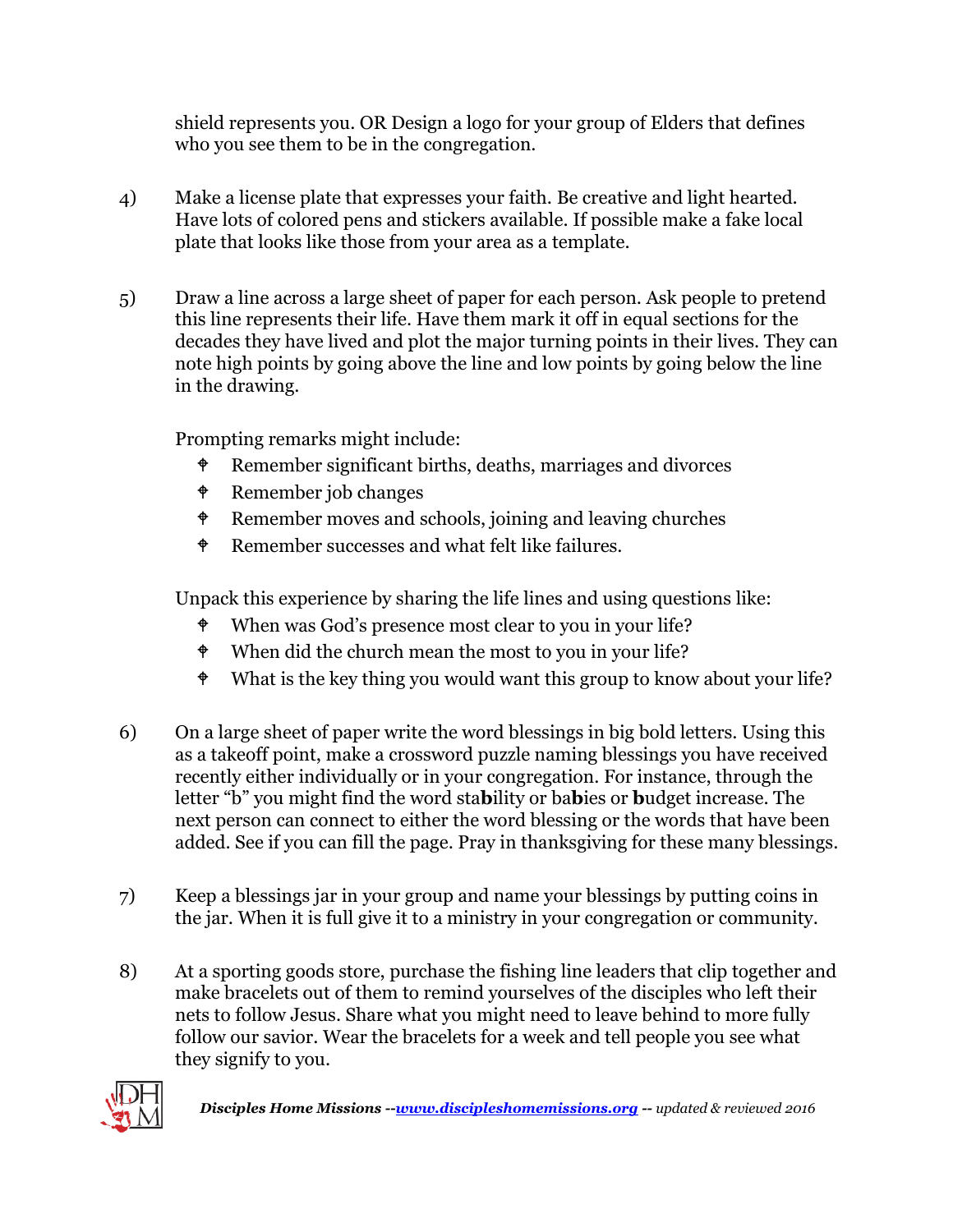shield represents you. OR Design a logo for your group of Elders that defines who you see them to be in the congregation.

- 4) Make a license plate that expresses your faith. Be creative and light hearted. Have lots of colored pens and stickers available. If possible make a fake local plate that looks like those from your area as a template.
- 5) Draw a line across a large sheet of paper for each person. Ask people to pretend this line represents their life. Have them mark it off in equal sections for the decades they have lived and plot the major turning points in their lives. They can note high points by going above the line and low points by going below the line in the drawing.

Prompting remarks might include:

- Remember significant births, deaths, marriages and divorces
- Remember job changes
- **F** Remember moves and schools, joining and leaving churches
- <sup> $\bullet$ </sup> Remember successes and what felt like failures.

Unpack this experience by sharing the life lines and using questions like:

- When was God's presence most clear to you in your life?
- $\bullet$  When did the church mean the most to you in your life?
- $\bullet$  What is the key thing you would want this group to know about your life?
- 6) On a large sheet of paper write the word blessings in big bold letters. Using this as a takeoff point, make a crossword puzzle naming blessings you have received recently either individually or in your congregation. For instance, through the letter "b" you might find the word sta**b**ility or ba**b**ies or **b**udget increase. The next person can connect to either the word blessing or the words that have been added. See if you can fill the page. Pray in thanksgiving for these many blessings.
- 7) Keep a blessings jar in your group and name your blessings by putting coins in the jar. When it is full give it to a ministry in your congregation or community.
- 8) At a sporting goods store, purchase the fishing line leaders that clip together and make bracelets out of them to remind yourselves of the disciples who left their nets to follow Jesus. Share what you might need to leave behind to more fully follow our savior. Wear the bracelets for a week and tell people you see what they signify to you.



*Disciples Home Missions -[-www.discipleshomemissions.org](http://www.discipleshomemissions.org/) -- updated & reviewed 2016*